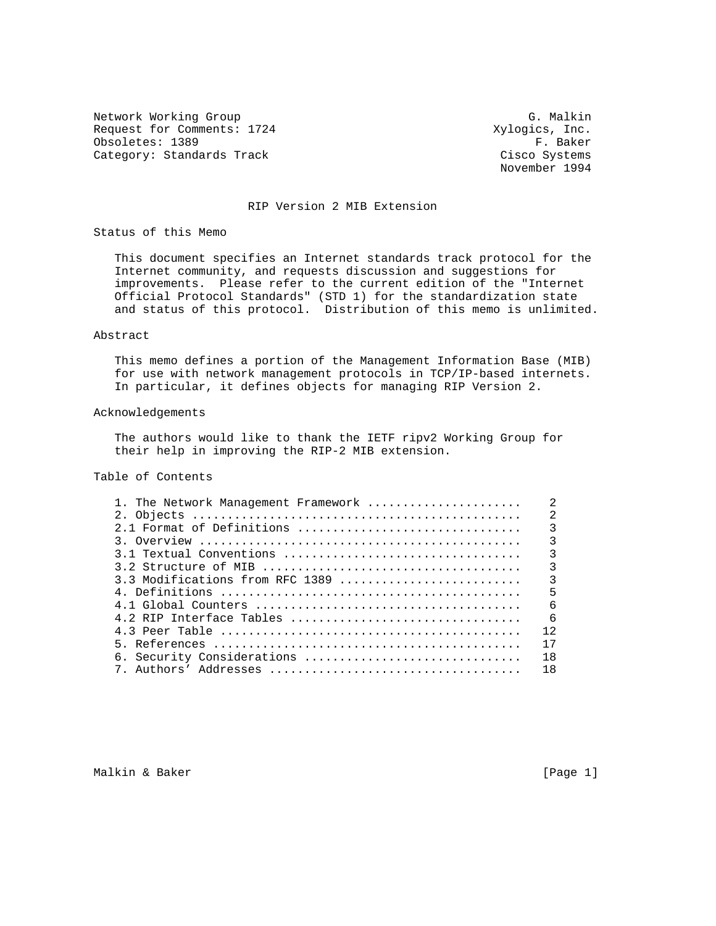Network Working Group Group G. Malkin Request for Comments: 1724 Xylogics, Inc.<br>
0bsoletes: 1389 F. Baker Obsoletes: 1389 Category: Standards Track Cisco Systems

November 1994

## RIP Version 2 MIB Extension

Status of this Memo

 This document specifies an Internet standards track protocol for the Internet community, and requests discussion and suggestions for improvements. Please refer to the current edition of the "Internet Official Protocol Standards" (STD 1) for the standardization state and status of this protocol. Distribution of this memo is unlimited.

## Abstract

 This memo defines a portion of the Management Information Base (MIB) for use with network management protocols in TCP/IP-based internets. In particular, it defines objects for managing RIP Version 2.

#### Acknowledgements

 The authors would like to thank the IETF ripv2 Working Group for their help in improving the RIP-2 MIB extension.

# Table of Contents

| 1. The Network Management Framework                                                                         | $\mathfrak{D}$ |
|-------------------------------------------------------------------------------------------------------------|----------------|
|                                                                                                             | $\mathfrak{D}$ |
| 2.1 Format of Definitions                                                                                   | 3              |
|                                                                                                             | $\mathbf{3}$   |
|                                                                                                             | 3              |
|                                                                                                             | 3              |
| 3.3 Modifications from RFC 1389                                                                             | $\mathcal{E}$  |
| 4. Definitions $\ldots \ldots \ldots \ldots \ldots \ldots \ldots \ldots \ldots \ldots \ldots \ldots \ldots$ | 5              |
|                                                                                                             | -6             |
|                                                                                                             | 6              |
|                                                                                                             | 12             |
|                                                                                                             | 17             |
| 6. Security Considerations                                                                                  | 18             |
|                                                                                                             | 18             |
|                                                                                                             |                |

Malkin & Baker [Page 1]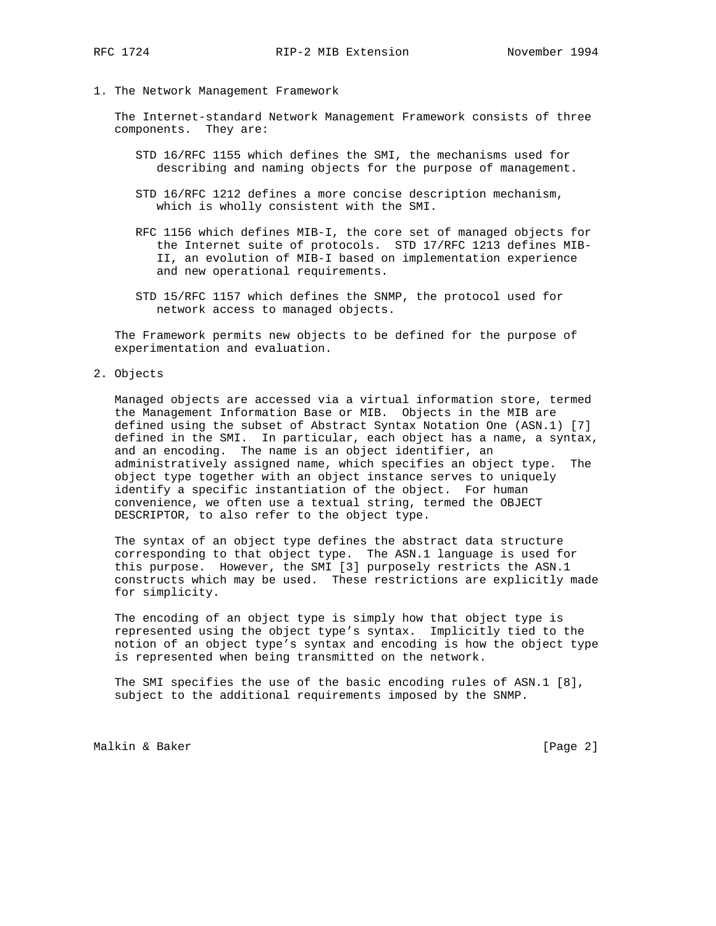1. The Network Management Framework

 The Internet-standard Network Management Framework consists of three components. They are:

- STD 16/RFC 1155 which defines the SMI, the mechanisms used for describing and naming objects for the purpose of management.
- STD 16/RFC 1212 defines a more concise description mechanism, which is wholly consistent with the SMI.
- RFC 1156 which defines MIB-I, the core set of managed objects for the Internet suite of protocols. STD 17/RFC 1213 defines MIB- II, an evolution of MIB-I based on implementation experience and new operational requirements.
- STD 15/RFC 1157 which defines the SNMP, the protocol used for network access to managed objects.

 The Framework permits new objects to be defined for the purpose of experimentation and evaluation.

2. Objects

 Managed objects are accessed via a virtual information store, termed the Management Information Base or MIB. Objects in the MIB are defined using the subset of Abstract Syntax Notation One (ASN.1) [7] defined in the SMI. In particular, each object has a name, a syntax, and an encoding. The name is an object identifier, an administratively assigned name, which specifies an object type. The object type together with an object instance serves to uniquely identify a specific instantiation of the object. For human convenience, we often use a textual string, termed the OBJECT DESCRIPTOR, to also refer to the object type.

 The syntax of an object type defines the abstract data structure corresponding to that object type. The ASN.1 language is used for this purpose. However, the SMI [3] purposely restricts the ASN.1 constructs which may be used. These restrictions are explicitly made for simplicity.

 The encoding of an object type is simply how that object type is represented using the object type's syntax. Implicitly tied to the notion of an object type's syntax and encoding is how the object type is represented when being transmitted on the network.

 The SMI specifies the use of the basic encoding rules of ASN.1 [8], subject to the additional requirements imposed by the SNMP.

Malkin & Baker [Page 2]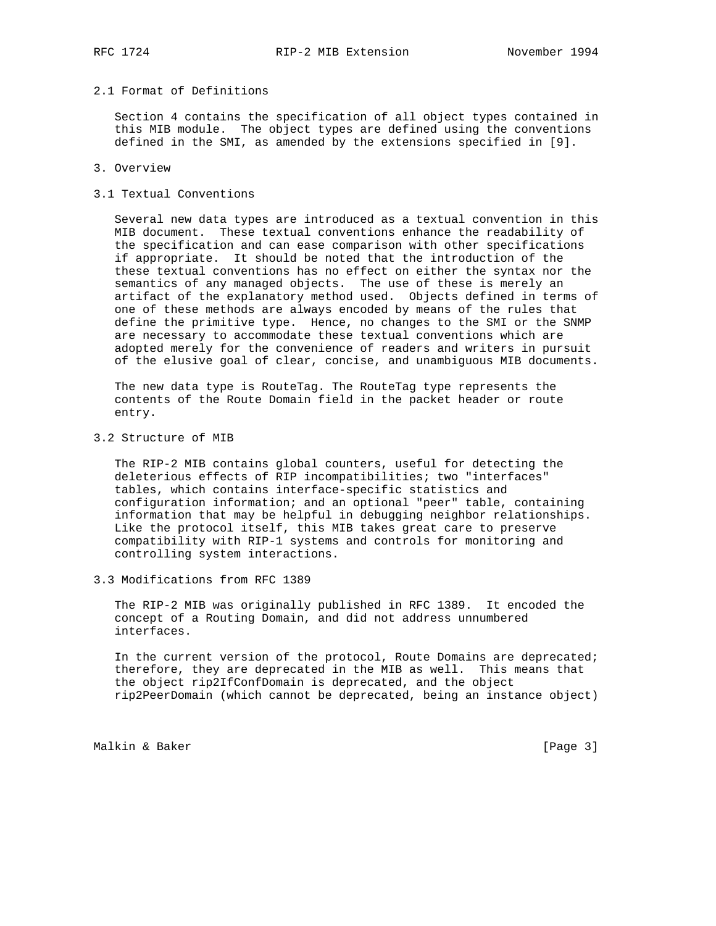# 2.1 Format of Definitions

 Section 4 contains the specification of all object types contained in this MIB module. The object types are defined using the conventions defined in the SMI, as amended by the extensions specified in [9].

### 3. Overview

#### 3.1 Textual Conventions

 Several new data types are introduced as a textual convention in this MIB document. These textual conventions enhance the readability of the specification and can ease comparison with other specifications if appropriate. It should be noted that the introduction of the these textual conventions has no effect on either the syntax nor the semantics of any managed objects. The use of these is merely an artifact of the explanatory method used. Objects defined in terms of one of these methods are always encoded by means of the rules that define the primitive type. Hence, no changes to the SMI or the SNMP are necessary to accommodate these textual conventions which are adopted merely for the convenience of readers and writers in pursuit of the elusive goal of clear, concise, and unambiguous MIB documents.

 The new data type is RouteTag. The RouteTag type represents the contents of the Route Domain field in the packet header or route entry.

3.2 Structure of MIB

 The RIP-2 MIB contains global counters, useful for detecting the deleterious effects of RIP incompatibilities; two "interfaces" tables, which contains interface-specific statistics and configuration information; and an optional "peer" table, containing information that may be helpful in debugging neighbor relationships. Like the protocol itself, this MIB takes great care to preserve compatibility with RIP-1 systems and controls for monitoring and controlling system interactions.

3.3 Modifications from RFC 1389

 The RIP-2 MIB was originally published in RFC 1389. It encoded the concept of a Routing Domain, and did not address unnumbered interfaces.

 In the current version of the protocol, Route Domains are deprecated; therefore, they are deprecated in the MIB as well. This means that the object rip2IfConfDomain is deprecated, and the object rip2PeerDomain (which cannot be deprecated, being an instance object)

Malkin & Baker [Page 3]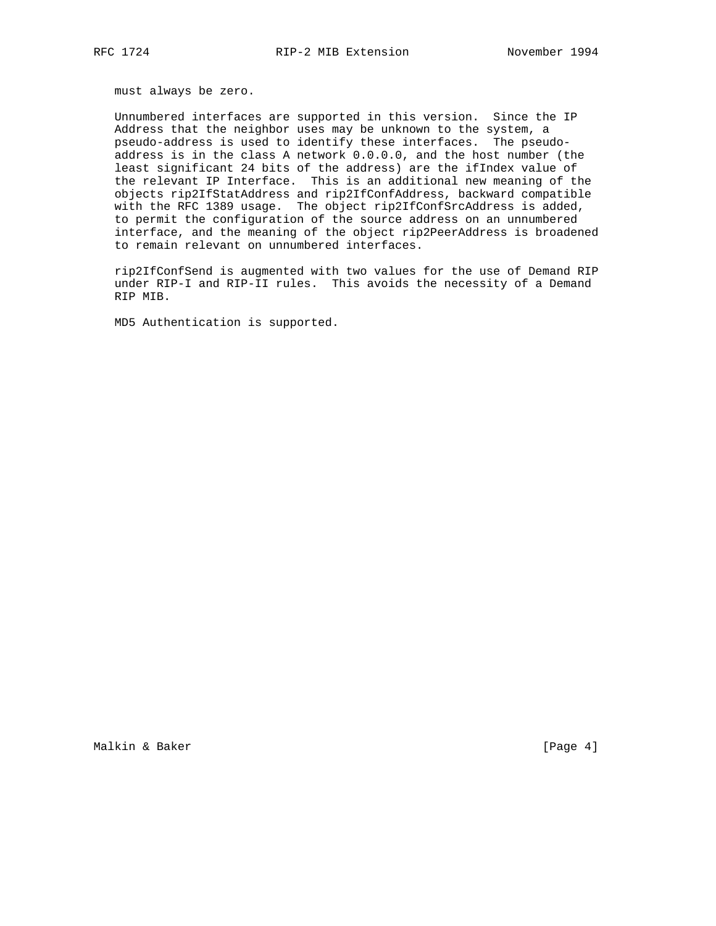must always be zero.

 Unnumbered interfaces are supported in this version. Since the IP Address that the neighbor uses may be unknown to the system, a pseudo-address is used to identify these interfaces. The pseudo address is in the class A network 0.0.0.0, and the host number (the least significant 24 bits of the address) are the ifIndex value of the relevant IP Interface. This is an additional new meaning of the objects rip2IfStatAddress and rip2IfConfAddress, backward compatible with the RFC 1389 usage. The object rip2IfConfSrcAddress is added, to permit the configuration of the source address on an unnumbered interface, and the meaning of the object rip2PeerAddress is broadened to remain relevant on unnumbered interfaces.

 rip2IfConfSend is augmented with two values for the use of Demand RIP under RIP-I and RIP-II rules. This avoids the necessity of a Demand RIP MIB.

MD5 Authentication is supported.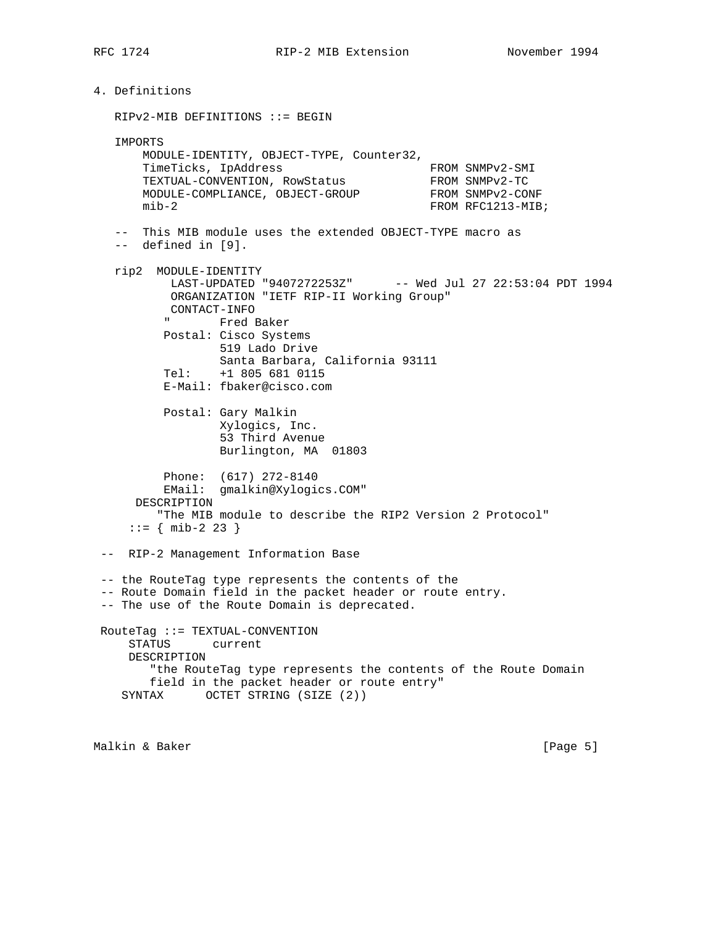```
4. Definitions
   RIPv2-MIB DEFINITIONS ::= BEGIN
   IMPORTS
       MODULE-IDENTITY, OBJECT-TYPE, Counter32,
TimeTicks, IpAddress FROM SNMPv2-SMI
TEXTUAL-CONVENTION, RowStatus FROM SNMPv2-TC
MODULE-COMPLIANCE, OBJECT-GROUP FROM SNMPv2-CONF
      mib-2 FROM RFC1213-MIB;
   -- This MIB module uses the extended OBJECT-TYPE macro as
   -- defined in [9].
   rip2 MODULE-IDENTITY
           LAST-UPDATED "9407272253Z" -- Wed Jul 27 22:53:04 PDT 1994
           ORGANIZATION "IETF RIP-II Working Group"
         CONTACT-INFO<br>Fred B
               Fred Baker
          Postal: Cisco Systems
                 519 Lado Drive
                 Santa Barbara, California 93111
          Tel: +1 805 681 0115
          E-Mail: fbaker@cisco.com
          Postal: Gary Malkin
                 Xylogics, Inc.
                 53 Third Avenue
                 Burlington, MA 01803
          Phone: (617) 272-8140
          EMail: gmalkin@Xylogics.COM"
      DESCRIPTION
         "The MIB module to describe the RIP2 Version 2 Protocol"
    ::= { mib-2 23 }
 -- RIP-2 Management Information Base
 -- the RouteTag type represents the contents of the
 -- Route Domain field in the packet header or route entry.
 -- The use of the Route Domain is deprecated.
 RouteTag ::= TEXTUAL-CONVENTION
     STATUS current
     DESCRIPTION
        "the RouteTag type represents the contents of the Route Domain
        field in the packet header or route entry"
    SYNTAX OCTET STRING (SIZE (2))
```
Malkin & Baker [Page 5]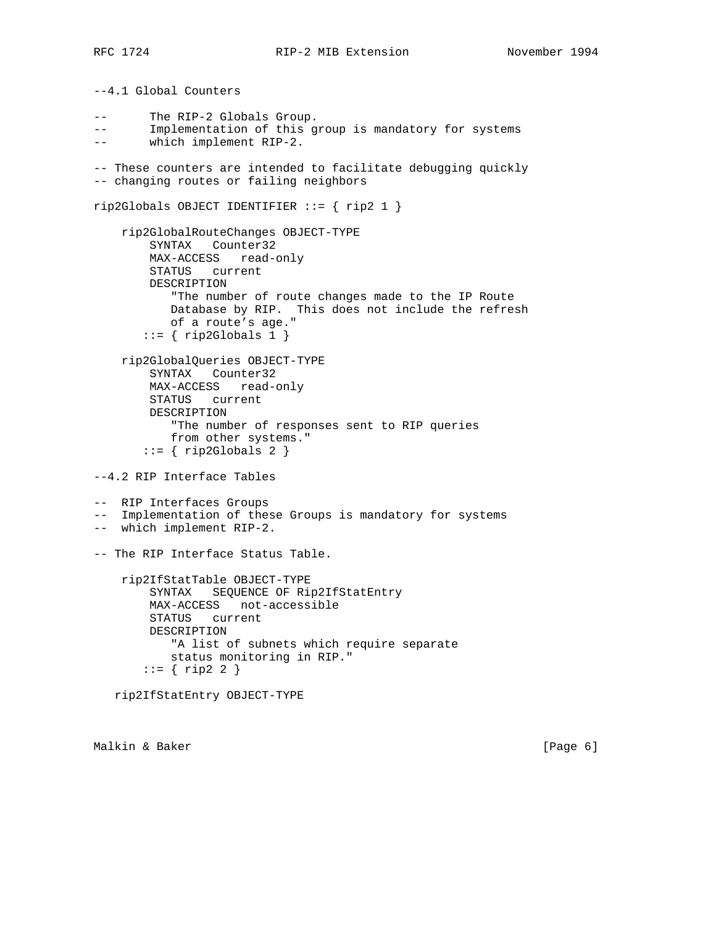--4.1 Global Counters -- The RIP-2 Globals Group. -- Implementation of this group is mandatory for systems -- which implement RIP-2. -- These counters are intended to facilitate debugging quickly -- changing routes or failing neighbors rip2Globals OBJECT IDENTIFIER ::= { rip2 1 } rip2GlobalRouteChanges OBJECT-TYPE SYNTAX Counter32 MAX-ACCESS read-only STATUS current DESCRIPTION "The number of route changes made to the IP Route Database by RIP. This does not include the refresh of a route's age."  $::= \{ rightthinspace right; \text{right } \}$  rip2GlobalQueries OBJECT-TYPE SYNTAX Counter32 MAX-ACCESS read-only STATUS current DESCRIPTION "The number of responses sent to RIP queries from other systems."  $::=$  { rip2Globals 2 } --4.2 RIP Interface Tables -- RIP Interfaces Groups -- Implementation of these Groups is mandatory for systems -- which implement RIP-2. -- The RIP Interface Status Table. rip2IfStatTable OBJECT-TYPE SYNTAX SEQUENCE OF Rip2IfStatEntry MAX-ACCESS not-accessible STATUS current DESCRIPTION "A list of subnets which require separate status monitoring in RIP."  $::= \{$  rip2 2  $\}$ rip2IfStatEntry OBJECT-TYPE

Malkin & Baker [Page 6]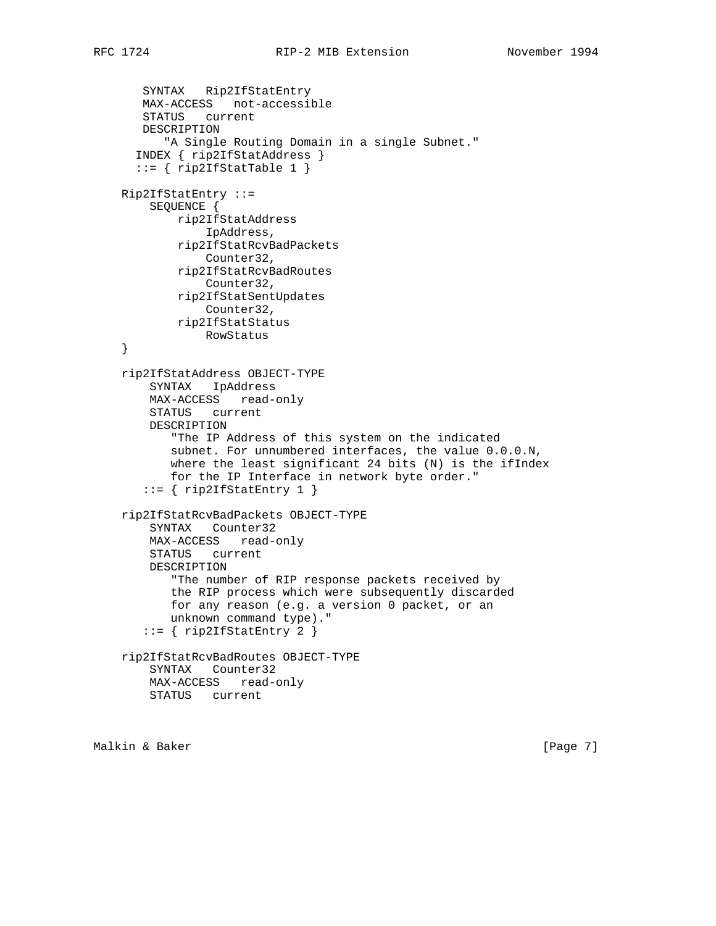SYNTAX Rip2IfStatEntry MAX-ACCESS not-accessible STATUS current DESCRIPTION "A Single Routing Domain in a single Subnet." INDEX { rip2IfStatAddress }  $::=$  { rip2IfStatTable 1 } Rip2IfStatEntry ::= SEQUENCE { rip2IfStatAddress IpAddress, rip2IfStatRcvBadPackets Counter32, rip2IfStatRcvBadRoutes Counter32, rip2IfStatSentUpdates Counter32, rip2IfStatStatus RowStatus } rip2IfStatAddress OBJECT-TYPE SYNTAX IpAddress MAX-ACCESS read-only STATUS current DESCRIPTION "The IP Address of this system on the indicated subnet. For unnumbered interfaces, the value 0.0.0.N, where the least significant 24 bits (N) is the ifIndex for the IP Interface in network byte order."  $::=$  { rip2IfStatEntry 1 } rip2IfStatRcvBadPackets OBJECT-TYPE SYNTAX Counter32 MAX-ACCESS read-only STATUS current DESCRIPTION "The number of RIP response packets received by the RIP process which were subsequently discarded for any reason (e.g. a version 0 packet, or an unknown command type)." ::= { rip2IfStatEntry 2 } rip2IfStatRcvBadRoutes OBJECT-TYPE SYNTAX Counter32 MAX-ACCESS read-only STATUS current

Malkin & Baker [Page 7]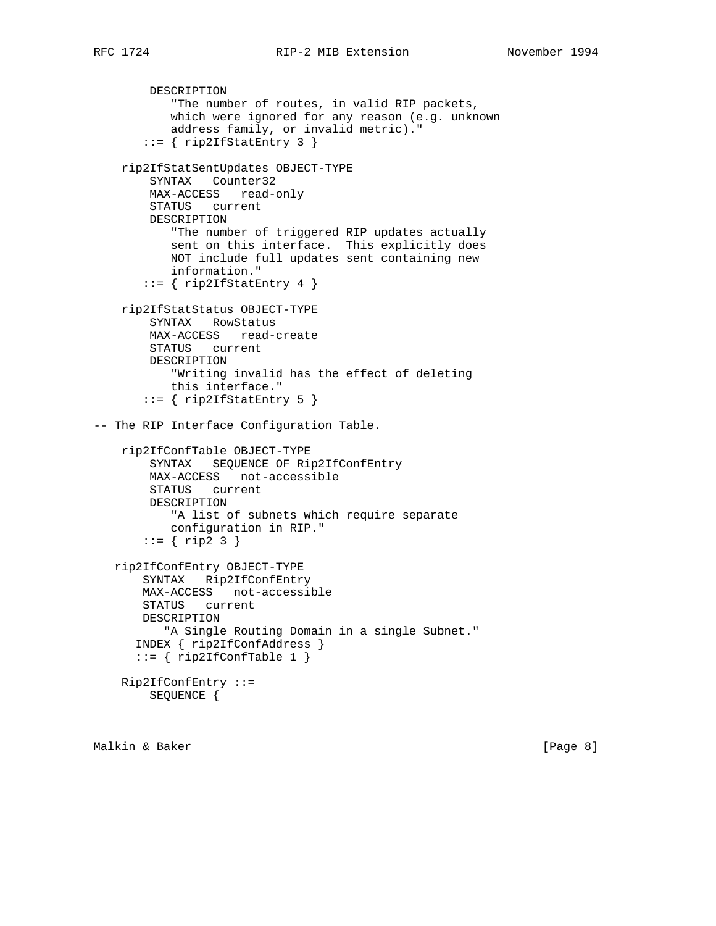```
 DESCRIPTION
            "The number of routes, in valid RIP packets,
            which were ignored for any reason (e.g. unknown
            address family, or invalid metric)."
       ::= { rip2IfStatEntry 3 }
     rip2IfStatSentUpdates OBJECT-TYPE
         SYNTAX Counter32
        MAX-ACCESS read-only
         STATUS current
        DESCRIPTION
            "The number of triggered RIP updates actually
            sent on this interface. This explicitly does
            NOT include full updates sent containing new
            information."
       ::= { rip2IfStatEntry 4 }
    rip2IfStatStatus OBJECT-TYPE
         SYNTAX RowStatus
        MAX-ACCESS read-create
        STATUS current
        DESCRIPTION
            "Writing invalid has the effect of deleting
            this interface."
        ::= { rip2IfStatEntry 5 }
-- The RIP Interface Configuration Table.
    rip2IfConfTable OBJECT-TYPE
        SYNTAX SEQUENCE OF Rip2IfConfEntry
        MAX-ACCESS not-accessible
        STATUS current
        DESCRIPTION
            "A list of subnets which require separate
            configuration in RIP."
       ::= { ring2 3 } rip2IfConfEntry OBJECT-TYPE
        SYNTAX Rip2IfConfEntry
        MAX-ACCESS not-accessible
       STATUS current
       DESCRIPTION
           "A Single Routing Domain in a single Subnet."
       INDEX { rip2IfConfAddress }
      ::= { rip2IfConfTable 1 }
    Rip2IfConfEntry ::=
        SEQUENCE {
```
Malkin & Baker [Page 8]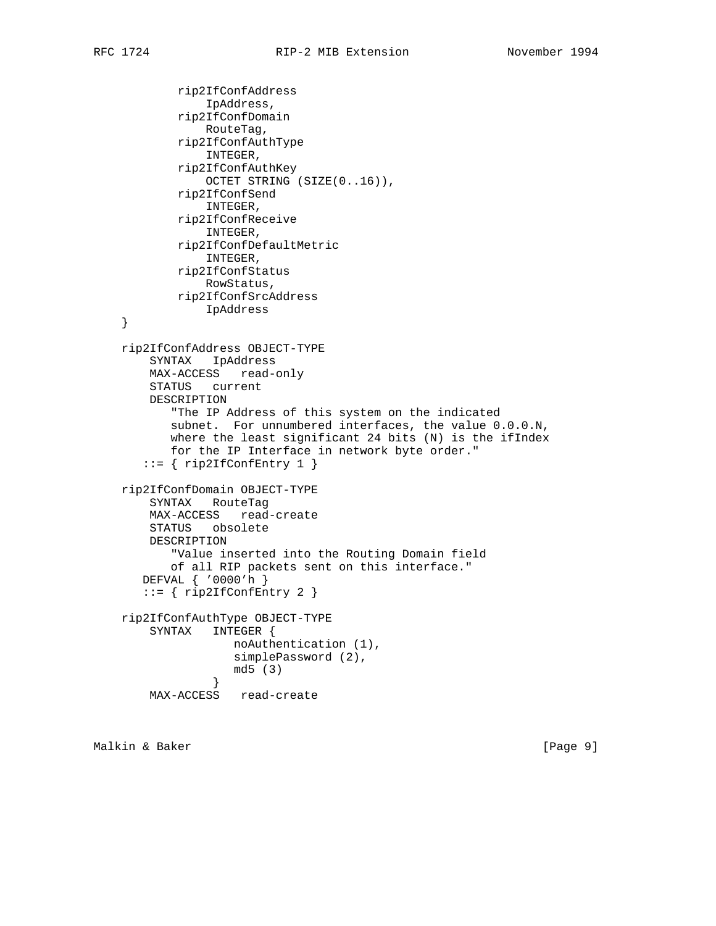```
 rip2IfConfAddress
     IpAddress,
 rip2IfConfDomain
     RouteTag,
 rip2IfConfAuthType
     INTEGER,
 rip2IfConfAuthKey
     OCTET STRING (SIZE(0..16)),
 rip2IfConfSend
     INTEGER,
 rip2IfConfReceive
     INTEGER,
 rip2IfConfDefaultMetric
     INTEGER,
 rip2IfConfStatus
    RowStatus,
 rip2IfConfSrcAddress
```

```
 }
 rip2IfConfAddress OBJECT-TYPE
     SYNTAX IpAddress
    MAX-ACCESS read-only
    STATUS current
    DESCRIPTION
        "The IP Address of this system on the indicated
        subnet. For unnumbered interfaces, the value 0.0.0.N,
       where the least significant 24 bits (N) is the ifIndex
       for the IP Interface in network byte order."
   ::= { rip2IfConfEntry 1 }
```

```
 rip2IfConfDomain OBJECT-TYPE
    SYNTAX RouteTag
    MAX-ACCESS read-create
    STATUS obsolete
    DESCRIPTION
        "Value inserted into the Routing Domain field
       of all RIP packets sent on this interface."
    DEFVAL { '0000'h }
    ::= { rip2IfConfEntry 2 }
 rip2IfConfAuthType OBJECT-TYPE
    SYNTAX INTEGER {
```

```
 noAuthentication (1),
                 simplePassword (2),
                 md5 (3)
 }
       MAX-ACCESS read-create
```
IpAddress

Malkin & Baker [Page 9]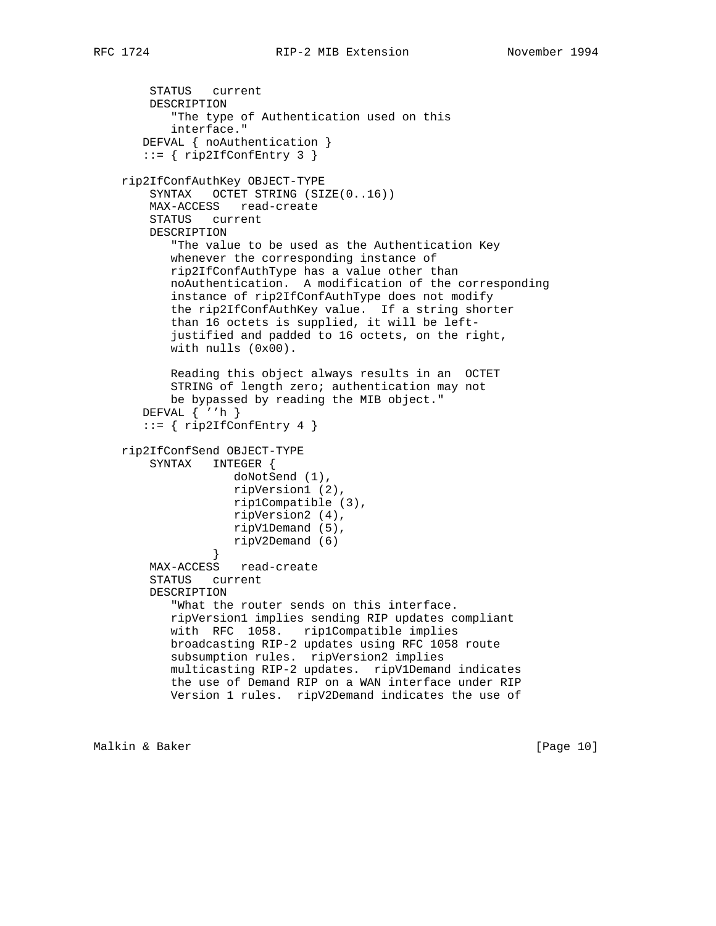```
 STATUS current
        DESCRIPTION
            "The type of Authentication used on this
           interface."
       DEFVAL { noAuthentication }
       ::= { rip2IfConfEntry 3 }
    rip2IfConfAuthKey OBJECT-TYPE
        SYNTAX OCTET STRING (SIZE(0..16))
        MAX-ACCESS read-create
        STATUS current
        DESCRIPTION
           "The value to be used as the Authentication Key
           whenever the corresponding instance of
           rip2IfConfAuthType has a value other than
           noAuthentication. A modification of the corresponding
           instance of rip2IfConfAuthType does not modify
           the rip2IfConfAuthKey value. If a string shorter
           than 16 octets is supplied, it will be left-
           justified and padded to 16 octets, on the right,
           with nulls (0x00).
           Reading this object always results in an OCTET
           STRING of length zero; authentication may not
           be bypassed by reading the MIB object."
       DEFVAL { ''h }
       ::= { rip2IfConfEntry 4 }
    rip2IfConfSend OBJECT-TYPE
        SYNTAX INTEGER {
                    doNotSend (1),
                    ripVersion1 (2),
                    rip1Compatible (3),
                    ripVersion2 (4),
                    ripV1Demand (5),
                 ripV2Demand (6)
 }
        MAX-ACCESS read-create
        STATUS current
        DESCRIPTION
           "What the router sends on this interface.
           ripVersion1 implies sending RIP updates compliant
           with RFC 1058. rip1Compatible implies
           broadcasting RIP-2 updates using RFC 1058 route
           subsumption rules. ripVersion2 implies
           multicasting RIP-2 updates. ripV1Demand indicates
           the use of Demand RIP on a WAN interface under RIP
           Version 1 rules. ripV2Demand indicates the use of
```
Malkin & Baker [Page 10]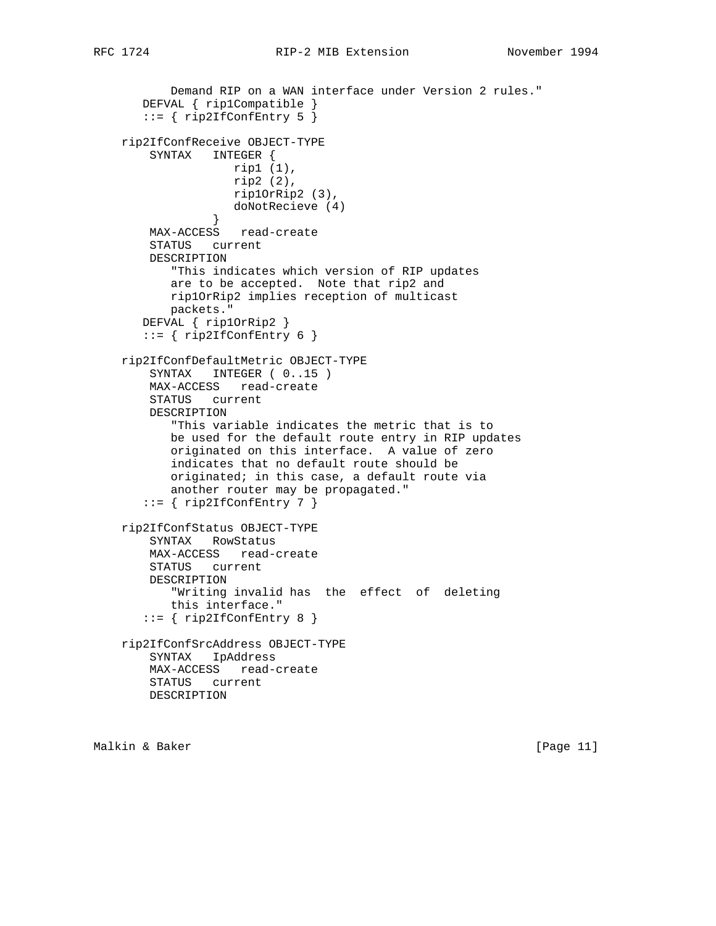```
 Demand RIP on a WAN interface under Version 2 rules."
 DEFVAL { rip1Compatible }
```

```
 ::= { rip2IfConfEntry 5 }
    rip2IfConfReceive OBJECT-TYPE
        SYNTAX INTEGER {
                   rip1 (1),
                    rip2 (2),
                   rip1OrRip2 (3),
                doNotRecieve (4)<br>}
 }
        MAX-ACCESS read-create
        STATUS current
        DESCRIPTION
           "This indicates which version of RIP updates
           are to be accepted. Note that rip2 and
           rip1OrRip2 implies reception of multicast
           packets."
       DEFVAL { rip1OrRip2 }
       ::= { rip2IfConfEntry 6 }
    rip2IfConfDefaultMetric OBJECT-TYPE
       SYNTAX INTEGER ( 0..15 )
        MAX-ACCESS read-create
        STATUS current
        DESCRIPTION
           "This variable indicates the metric that is to
           be used for the default route entry in RIP updates
           originated on this interface. A value of zero
           indicates that no default route should be
           originated; in this case, a default route via
           another router may be propagated."
      ::= { rip2IfConfEntry 7 }
    rip2IfConfStatus OBJECT-TYPE
        SYNTAX RowStatus
        MAX-ACCESS read-create
        STATUS current
        DESCRIPTION
           "Writing invalid has the effect of deleting
           this interface."
      ::= { rip2IfConfEntry 8 }
    rip2IfConfSrcAddress OBJECT-TYPE
        SYNTAX IpAddress
        MAX-ACCESS read-create
        STATUS current
        DESCRIPTION
```
Malkin & Baker [Page 11]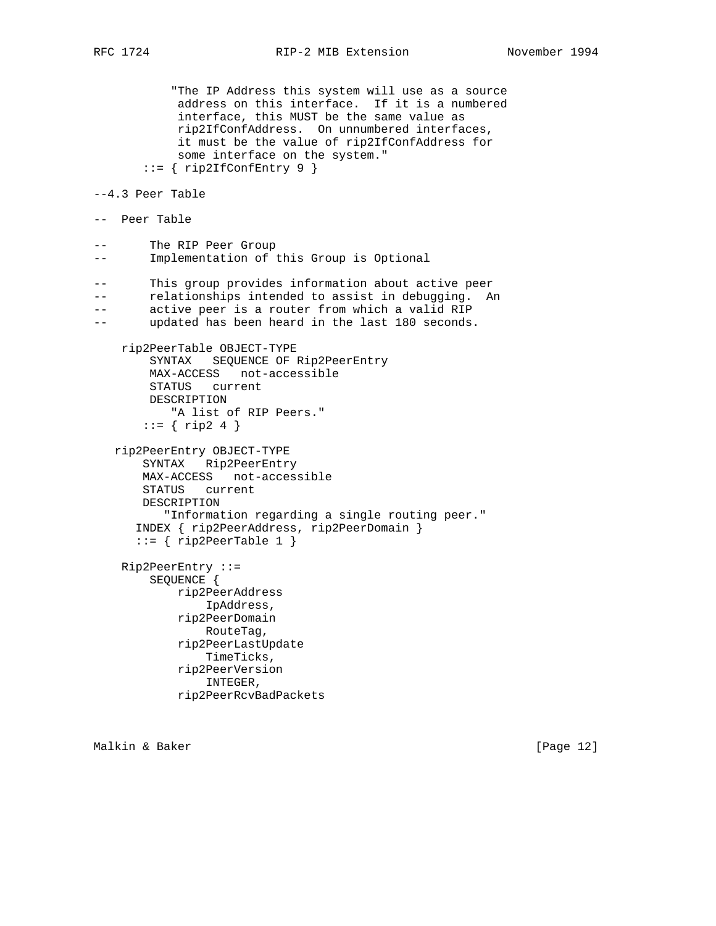"The IP Address this system will use as a source address on this interface. If it is a numbered interface, this MUST be the same value as rip2IfConfAddress. On unnumbered interfaces, it must be the value of rip2IfConfAddress for some interface on the system." ::= { rip2IfConfEntry 9 } --4.3 Peer Table -- Peer Table -- The RIP Peer Group -- Implementation of this Group is Optional -- This group provides information about active peer -- relationships intended to assist in debugging. An -- active peer is a router from which a valid RIP -- updated has been heard in the last 180 seconds. rip2PeerTable OBJECT-TYPE SYNTAX SEQUENCE OF Rip2PeerEntry MAX-ACCESS not-accessible STATUS current DESCRIPTION "A list of RIP Peers."  $::= { ring2 4 }$  rip2PeerEntry OBJECT-TYPE SYNTAX Rip2PeerEntry MAX-ACCESS not-accessible STATUS current DESCRIPTION "Information regarding a single routing peer." INDEX { rip2PeerAddress, rip2PeerDomain }  $::=$  { rip2PeerTable 1 } Rip2PeerEntry ::= SEQUENCE { rip2PeerAddress IpAddress, rip2PeerDomain RouteTag, rip2PeerLastUpdate TimeTicks, rip2PeerVersion INTEGER, rip2PeerRcvBadPackets

Malkin & Baker [Page 12]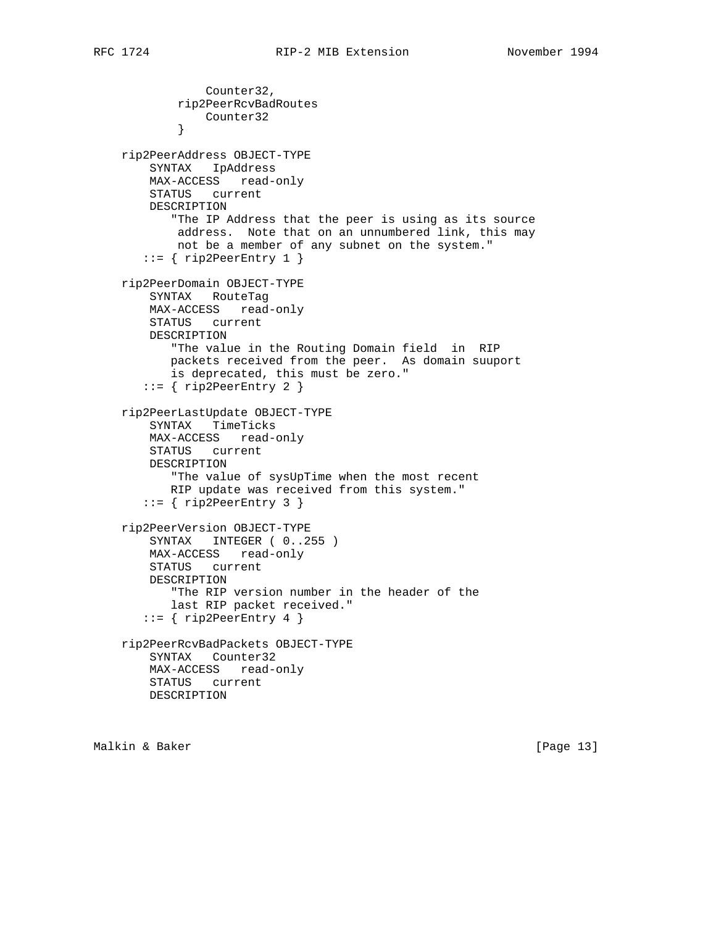```
 Counter32,
            rip2PeerRcvBadRoutes
            Counter32<br>}
 }
    rip2PeerAddress OBJECT-TYPE
        SYNTAX IpAddress
        MAX-ACCESS read-only
        STATUS current
        DESCRIPTION
            "The IP Address that the peer is using as its source
            address. Note that on an unnumbered link, this may
            not be a member of any subnet on the system."
      ::= { rip2PeerEntry 1 }
    rip2PeerDomain OBJECT-TYPE
        SYNTAX RouteTag
        MAX-ACCESS read-only
        STATUS current
        DESCRIPTION
           "The value in the Routing Domain field in RIP
           packets received from the peer. As domain suuport
           is deprecated, this must be zero."
        ::= { rip2PeerEntry 2 }
    rip2PeerLastUpdate OBJECT-TYPE
        SYNTAX TimeTicks
        MAX-ACCESS read-only
        STATUS current
        DESCRIPTION
           "The value of sysUpTime when the most recent
           RIP update was received from this system."
      ::= { rip2PeerEntry 3 }
    rip2PeerVersion OBJECT-TYPE
        SYNTAX INTEGER ( 0..255 )
        MAX-ACCESS read-only
        STATUS current
        DESCRIPTION
           "The RIP version number in the header of the
           last RIP packet received."
      ::= { rip2PeerEntry 4 }
    rip2PeerRcvBadPackets OBJECT-TYPE
        SYNTAX Counter32
        MAX-ACCESS read-only
        STATUS current
        DESCRIPTION
```
Malkin & Baker [Page 13]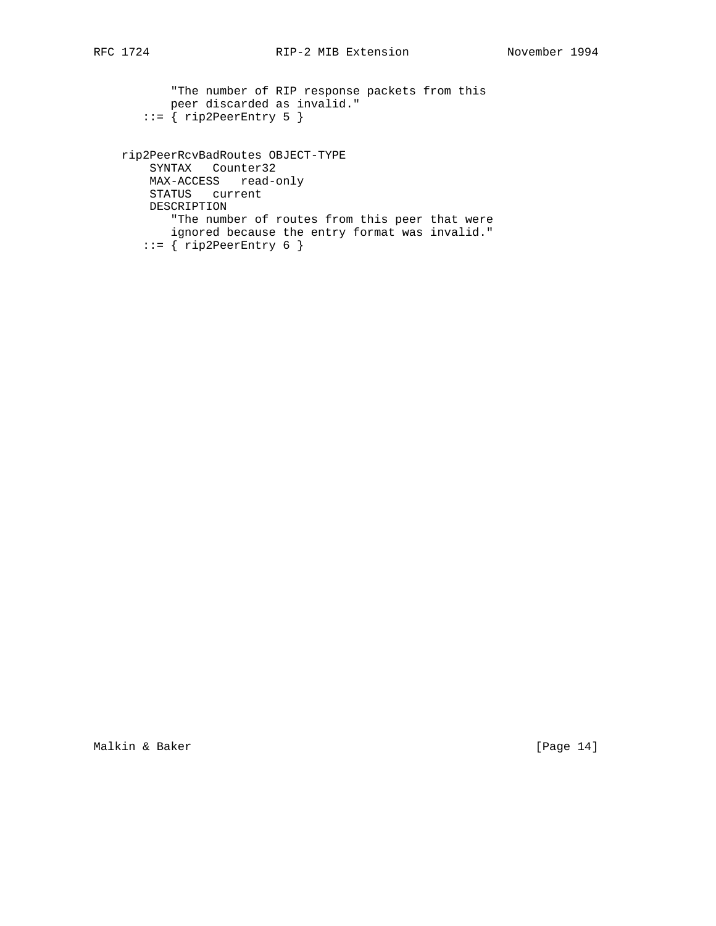```
 "The number of RIP response packets from this
       peer discarded as invalid."
   ::= { rip2PeerEntry 5 }
 rip2PeerRcvBadRoutes OBJECT-TYPE
    SYNTAX Counter32
    MAX-ACCESS read-only
    STATUS current
    DESCRIPTION
       "The number of routes from this peer that were
       ignored because the entry format was invalid."
   ::= { rip2PeerEntry 6 }
```
Malkin & Baker [Page 14]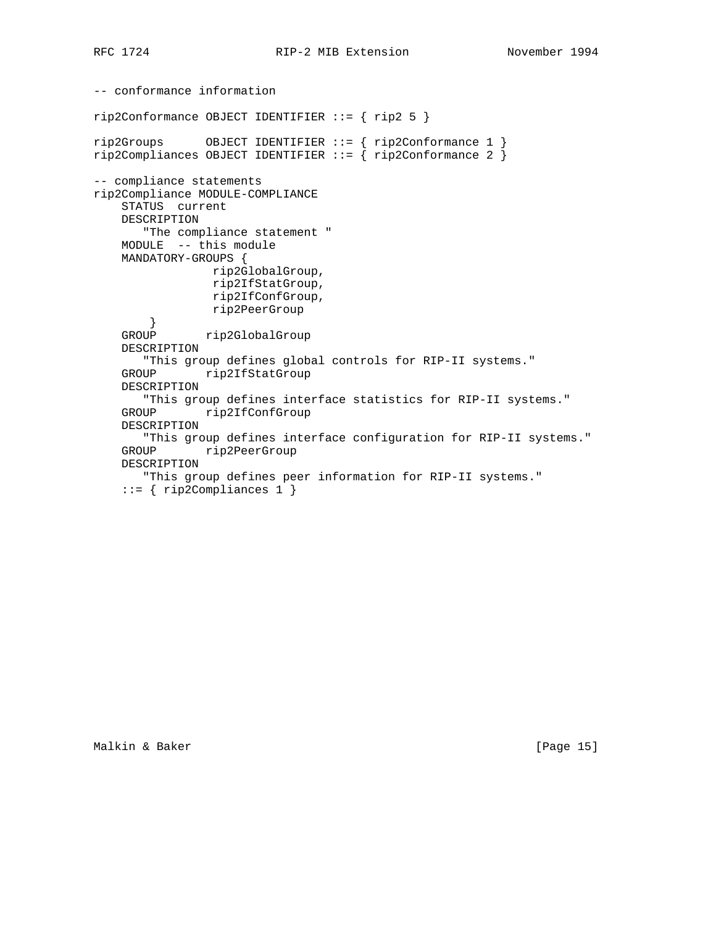```
-- conformance information
rip2Conformance OBJECT IDENTIFIER ::= { rip2 5 }
rip2Groups OBJECT IDENTIFIER ::= { rip2Conformance 1 }
rip2Compliances OBJECT IDENTIFIER ::= { rip2Conformance 2 }
-- compliance statements
rip2Compliance MODULE-COMPLIANCE
     STATUS current
    DESCRIPTION
       "The compliance statement "
    MODULE -- this module
     MANDATORY-GROUPS {
                 rip2GlobalGroup,
                 rip2IfStatGroup,
                 rip2IfConfGroup,
                 rip2PeerGroup
        }
     GROUP rip2GlobalGroup
     DESCRIPTION
        "This group defines global controls for RIP-II systems."
     GROUP rip2IfStatGroup
    DESCRIPTION
        "This group defines interface statistics for RIP-II systems."
     GROUP rip2IfConfGroup
     DESCRIPTION
        "This group defines interface configuration for RIP-II systems."
     GROUP rip2PeerGroup
    DESCRIPTION
        "This group defines peer information for RIP-II systems."
    ::= { rip2Compliances 1 }
```
Malkin & Baker [Page 15]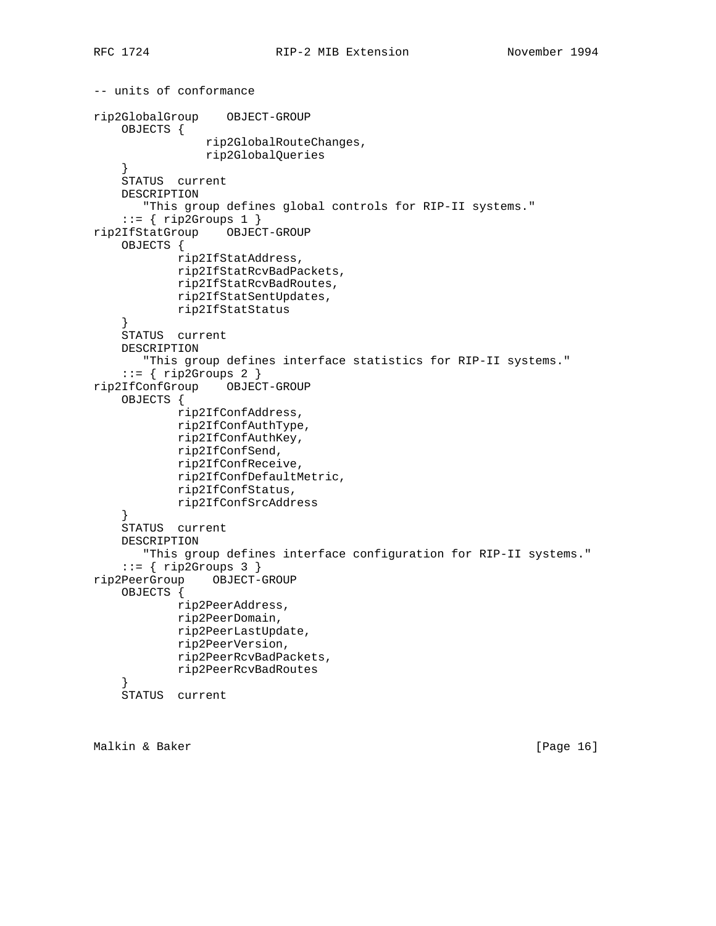```
-- units of conformance
rip2GlobalGroup OBJECT-GROUP
     OBJECTS {
                 rip2GlobalRouteChanges,
                 rip2GlobalQueries
     }
     STATUS current
     DESCRIPTION
        "This group defines global controls for RIP-II systems."
     ::= { rip2Groups 1 }
rip2IfStatGroup OBJECT-GROUP
     OBJECTS {
             rip2IfStatAddress,
             rip2IfStatRcvBadPackets,
             rip2IfStatRcvBadRoutes,
             rip2IfStatSentUpdates,
             rip2IfStatStatus
     }
     STATUS current
     DESCRIPTION
        "This group defines interface statistics for RIP-II systems."
    ::= { rip2Groups 2 }
rip2IfConfGroup OBJECT-GROUP
     OBJECTS {
             rip2IfConfAddress,
             rip2IfConfAuthType,
             rip2IfConfAuthKey,
             rip2IfConfSend,
             rip2IfConfReceive,
             rip2IfConfDefaultMetric,
             rip2IfConfStatus,
             rip2IfConfSrcAddress
     }
     STATUS current
     DESCRIPTION
       "This group defines interface configuration for RIP-II systems."
    ::= { rip2Groups 3 }
rip2PeerGroup OBJECT-GROUP
     OBJECTS {
            rip2PeerAddress,
             rip2PeerDomain,
             rip2PeerLastUpdate,
             rip2PeerVersion,
             rip2PeerRcvBadPackets,
             rip2PeerRcvBadRoutes
 }
     STATUS current
```
Malkin & Baker [Page 16]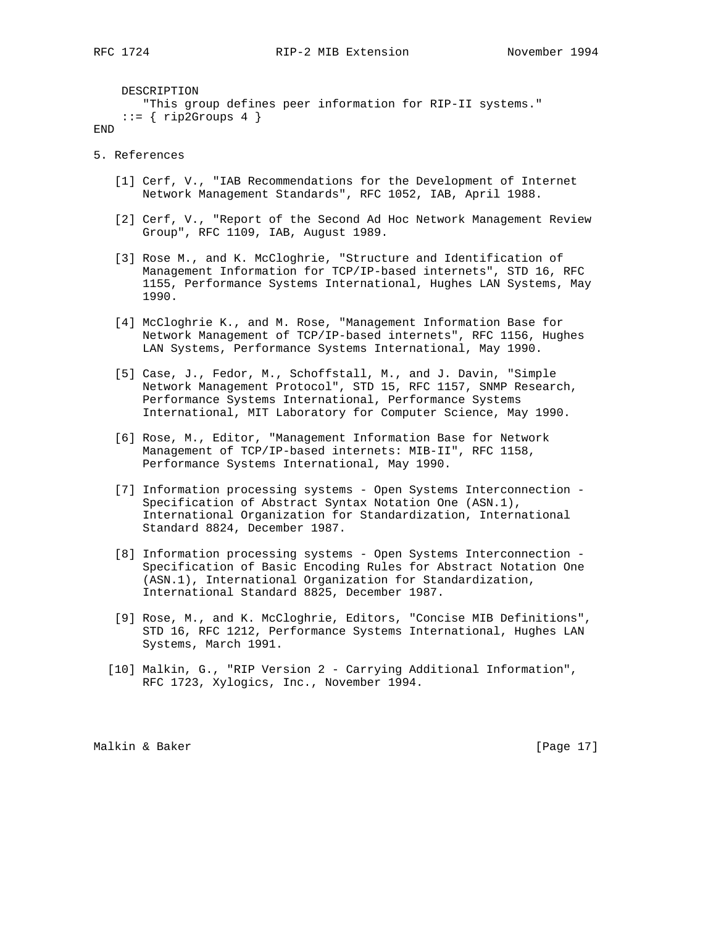DESCRIPTION "This group defines peer information for RIP-II systems."  $::=$  { rip2Groups 4 }

- END
- 5. References
	- [1] Cerf, V., "IAB Recommendations for the Development of Internet Network Management Standards", RFC 1052, IAB, April 1988.
	- [2] Cerf, V., "Report of the Second Ad Hoc Network Management Review Group", RFC 1109, IAB, August 1989.
	- [3] Rose M., and K. McCloghrie, "Structure and Identification of Management Information for TCP/IP-based internets", STD 16, RFC 1155, Performance Systems International, Hughes LAN Systems, May 1990.
	- [4] McCloghrie K., and M. Rose, "Management Information Base for Network Management of TCP/IP-based internets", RFC 1156, Hughes LAN Systems, Performance Systems International, May 1990.
	- [5] Case, J., Fedor, M., Schoffstall, M., and J. Davin, "Simple Network Management Protocol", STD 15, RFC 1157, SNMP Research, Performance Systems International, Performance Systems International, MIT Laboratory for Computer Science, May 1990.
	- [6] Rose, M., Editor, "Management Information Base for Network Management of TCP/IP-based internets: MIB-II", RFC 1158, Performance Systems International, May 1990.
	- [7] Information processing systems Open Systems Interconnection Specification of Abstract Syntax Notation One (ASN.1), International Organization for Standardization, International Standard 8824, December 1987.
	- [8] Information processing systems Open Systems Interconnection Specification of Basic Encoding Rules for Abstract Notation One (ASN.1), International Organization for Standardization, International Standard 8825, December 1987.
	- [9] Rose, M., and K. McCloghrie, Editors, "Concise MIB Definitions", STD 16, RFC 1212, Performance Systems International, Hughes LAN Systems, March 1991.
	- [10] Malkin, G., "RIP Version 2 Carrying Additional Information", RFC 1723, Xylogics, Inc., November 1994.

Malkin & Baker [Page 17]